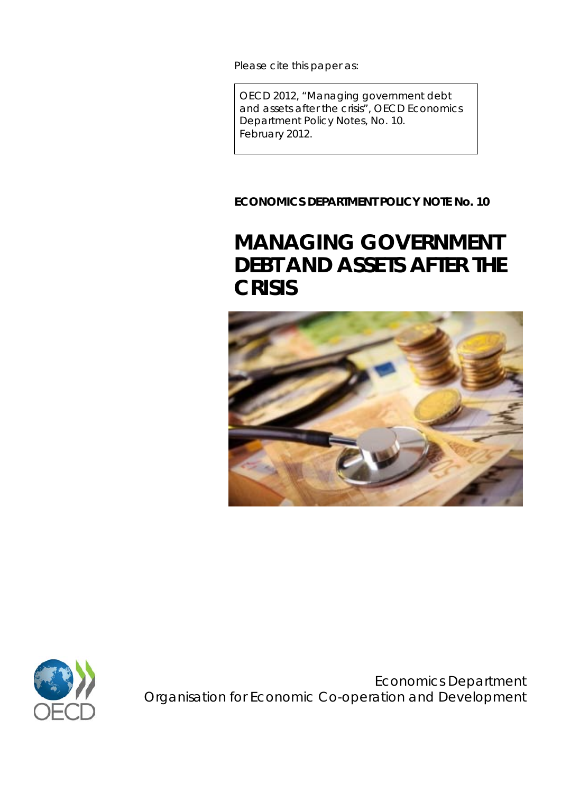Please cite this paper as:

OECD 2012, "Managing government debt and assets after the crisis", *OECD Economics Department Policy Notes,* No. 10. February 2012.

**ECONOMICS DEPARTMENT POLICY NOTE No. 10**

# **MANAGING GOVERNMENT DEBT AND ASSETS AFTER THE CRISIS**





Economics Department Organisation for Economic Co-operation and Development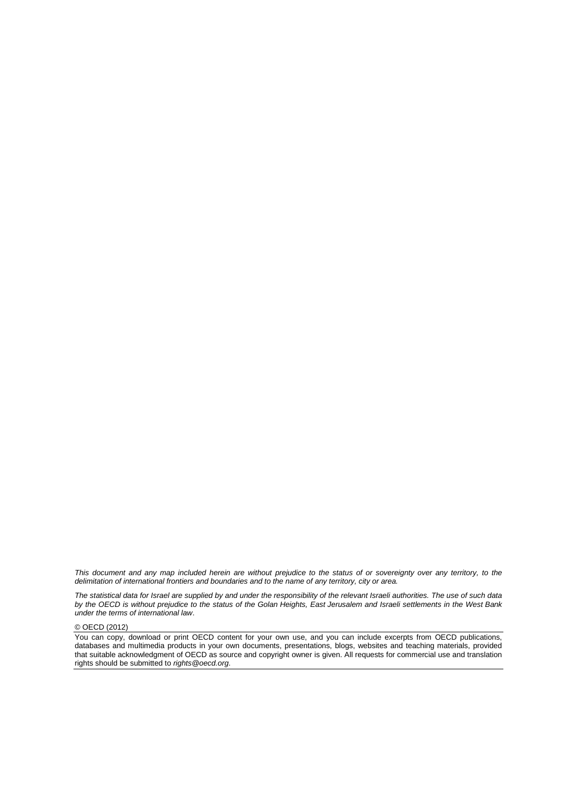*This document and any map included herein are without prejudice to the status of or sovereignty over any territory, to the delimitation of international frontiers and boundaries and to the name of any territory, city or area.*

*The statistical data for Israel are supplied by and under the responsibility of the relevant Israeli authorities. The use of such data by the OECD is without prejudice to the status of the Golan Heights, East Jerusalem and Israeli settlements in the West Bank under the terms of international law*.

© OECD (2012)

You can copy, download or print OECD content for your own use, and you can include excerpts from OECD publications, databases and multimedia products in your own documents, presentations, blogs, websites and teaching materials, provided that suitable acknowledgment of OECD as source and copyright owner is given. All requests for commercial use and translation rights should be submitted to *rights@oecd.org*.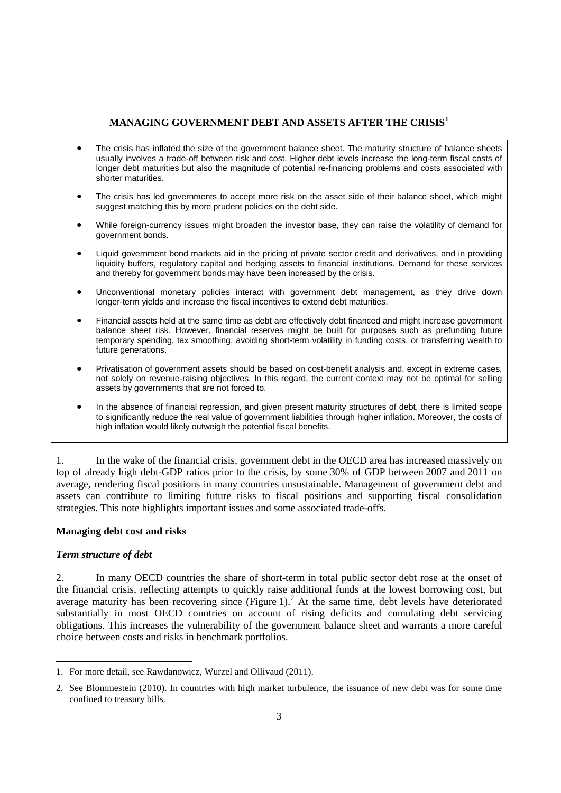# **MANAGING GOVERNMENT DEBT AND ASSETS AFTER THE CRISIS[1](#page-2-0)**

- The crisis has inflated the size of the government balance sheet. The maturity structure of balance sheets usually involves a trade-off between risk and cost. Higher debt levels increase the long-term fiscal costs of longer debt maturities but also the magnitude of potential re-financing problems and costs associated with shorter maturities.
- The crisis has led governments to accept more risk on the asset side of their balance sheet, which might suggest matching this by more prudent policies on the debt side.
- While foreign-currency issues might broaden the investor base, they can raise the volatility of demand for government bonds.
- Liquid government bond markets aid in the pricing of private sector credit and derivatives, and in providing liquidity buffers, regulatory capital and hedging assets to financial institutions. Demand for these services and thereby for government bonds may have been increased by the crisis.
- Unconventional monetary policies interact with government debt management, as they drive down longer-term yields and increase the fiscal incentives to extend debt maturities.
- Financial assets held at the same time as debt are effectively debt financed and might increase government balance sheet risk. However, financial reserves might be built for purposes such as prefunding future temporary spending, tax smoothing, avoiding short-term volatility in funding costs, or transferring wealth to future generations.
- Privatisation of government assets should be based on cost-benefit analysis and, except in extreme cases, not solely on revenue-raising objectives. In this regard, the current context may not be optimal for selling assets by governments that are not forced to.
- In the absence of financial repression, and given present maturity structures of debt, there is limited scope to significantly reduce the real value of government liabilities through higher inflation. Moreover, the costs of high inflation would likely outweigh the potential fiscal benefits.

1. In the wake of the financial crisis, government debt in the OECD area has increased massively on top of already high debt-GDP ratios prior to the crisis, by some 30% of GDP between 2007 and 2011 on average, rendering fiscal positions in many countries unsustainable. Management of government debt and assets can contribute to limiting future risks to fiscal positions and supporting fiscal consolidation strategies. This note highlights important issues and some associated trade-offs.

# **Managing debt cost and risks**

# *Term structure of debt*

 $\overline{a}$ 

2. In many OECD countries the share of short-term in total public sector debt rose at the onset of the financial crisis, reflecting attempts to quickly raise additional funds at the lowest borrowing cost, but average maturity has been recovering since (Figure 1).<sup>[2](#page-2-1)</sup> At the same time, debt levels have deteriorated substantially in most OECD countries on account of rising deficits and cumulating debt servicing obligations. This increases the vulnerability of the government balance sheet and warrants a more careful choice between costs and risks in benchmark portfolios.

<span id="page-2-0"></span><sup>1.</sup> For more detail, see Rawdanowicz, Wurzel and Ollivaud (2011).

<span id="page-2-1"></span><sup>2.</sup> See Blommestein (2010). In countries with high market turbulence, the issuance of new debt was for some time confined to treasury bills.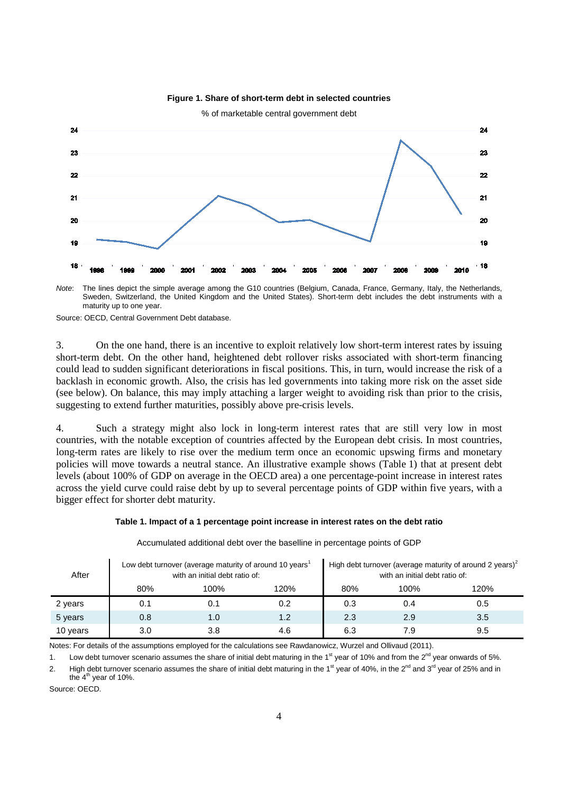

# **Figure 1. Share of short-term debt in selected countries**

*Note*: The lines depict the simple average among the G10 countries (Belgium, Canada, France, Germany, Italy, the Netherlands, Sweden, Switzerland, the United Kingdom and the United States). Short-term debt includes the debt instruments with a maturity up to one year.

Source: OECD, Central Government Debt database.

3. On the one hand, there is an incentive to exploit relatively low short-term interest rates by issuing short-term debt. On the other hand, heightened debt rollover risks associated with short-term financing could lead to sudden significant deteriorations in fiscal positions. This, in turn, would increase the risk of a backlash in economic growth. Also, the crisis has led governments into taking more risk on the asset side (see below). On balance, this may imply attaching a larger weight to avoiding risk than prior to the crisis, suggesting to extend further maturities, possibly above pre-crisis levels.

4. Such a strategy might also lock in long-term interest rates that are still very low in most countries, with the notable exception of countries affected by the European debt crisis. In most countries, long-term rates are likely to rise over the medium term once an economic upswing firms and monetary policies will move towards a neutral stance. An illustrative example shows (Table 1) that at present debt levels (about 100% of GDP on average in the OECD area) a one percentage-point increase in interest rates across the yield curve could raise debt by up to several percentage points of GDP within five years, with a bigger effect for shorter debt maturity.

#### **Table 1. Impact of a 1 percentage point increase in interest rates on the debt ratio**

| After    |     | Low debt turnover (average maturity of around 10 years <sup>1</sup><br>with an initial debt ratio of: |      | High debt turnover (average maturity of around 2 years) $2$<br>with an initial debt ratio of: |      |      |  |
|----------|-----|-------------------------------------------------------------------------------------------------------|------|-----------------------------------------------------------------------------------------------|------|------|--|
|          | 80% | 100%                                                                                                  | 120% | 80%                                                                                           | 100% | 120% |  |
| 2 years  | 0.1 | 0.1                                                                                                   | 0.2  | 0.3                                                                                           | 0.4  | 0.5  |  |
| 5 years  | 0.8 | 1.0                                                                                                   | 1.2  | 2.3                                                                                           | 2.9  | 3.5  |  |
| 10 years | 3.0 | 3.8                                                                                                   | 4.6  | 6.3                                                                                           | 7.9  | 9.5  |  |

Accumulated additional debt over the baselline in percentage points of GDP

Notes: For details of the assumptions employed for the calculations see Rawdanowicz, Wurzel and Ollivaud (2011).

1. Low debt turnover scenario assumes the share of initial debt maturing in the 1<sup>st</sup> year of 10% and from the 2<sup>nd</sup> year onwards of 5%.

2. High debt turnover scenario assumes the share of initial debt maturing in the 1<sup>st</sup> year of 40%, in the 2<sup>nd</sup> and 3<sup>rd</sup> year of 25% and in the  $4<sup>th</sup>$  year of 10%.

Source: OECD.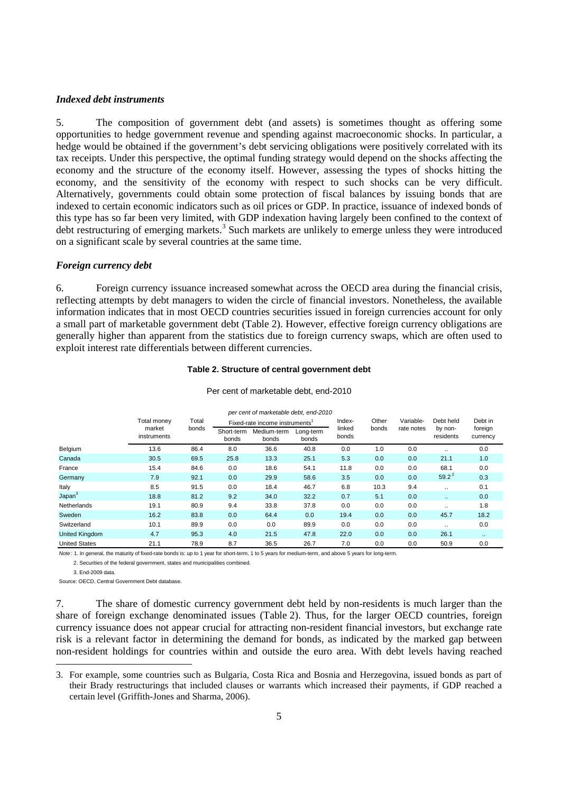#### *Indexed debt instruments*

5. The composition of government debt (and assets) is sometimes thought as offering some opportunities to hedge government revenue and spending against macroeconomic shocks. In particular, a hedge would be obtained if the government's debt servicing obligations were positively correlated with its tax receipts. Under this perspective, the optimal funding strategy would depend on the shocks affecting the economy and the structure of the economy itself. However, assessing the types of shocks hitting the economy, and the sensitivity of the economy with respect to such shocks can be very difficult. Alternatively, governments could obtain some protection of fiscal balances by issuing bonds that are indexed to certain economic indicators such as oil prices or GDP. In practice, issuance of indexed bonds of this type has so far been very limited, with GDP indexation having largely been confined to the context of debt restructuring of emerging markets.<sup>[3](#page-4-0)</sup> Such markets are unlikely to emerge unless they were introduced on a significant scale by several countries at the same time.

# *Foreign currency debt*

6. Foreign currency issuance increased somewhat across the OECD area during the financial crisis, reflecting attempts by debt managers to widen the circle of financial investors. Nonetheless, the available information indicates that in most OECD countries securities issued in foreign currencies account for only a small part of marketable government debt (Table 2). However, effective foreign currency obligations are generally higher than apparent from the statistics due to foreign currency swaps, which are often used to exploit interest rate differentials between different currencies.

#### **Table 2. Structure of central government debt**

| per cent of marketable debt, end-2010 |                                      |                |                                |                      |                    |                 |       |            |                      |                     |  |  |
|---------------------------------------|--------------------------------------|----------------|--------------------------------|----------------------|--------------------|-----------------|-------|------------|----------------------|---------------------|--|--|
|                                       | Total monev<br>market<br>instruments | Total<br>bonds | Fixed-rate income instruments' |                      |                    | Index-          | Other | Variable-  | Debt held            | Debt in             |  |  |
|                                       |                                      |                | Short-term<br>bonds            | Medium-term<br>bonds | Long-term<br>bonds | linked<br>bonds | bonds | rate notes | by non-<br>residents | foreign<br>currency |  |  |
| Belgium                               | 13.6                                 | 86.4           | 8.0                            | 36.6                 | 40.8               | 0.0             | 1.0   | 0.0        | $\ddot{\phantom{a}}$ | 0.0                 |  |  |
| Canada                                | 30.5                                 | 69.5           | 25.8                           | 13.3                 | 25.1               | 5.3             | 0.0   | 0.0        | 21.1                 | 1.0                 |  |  |
| France                                | 15.4                                 | 84.6           | 0.0                            | 18.6                 | 54.1               | 11.8            | 0.0   | 0.0        | 68.1                 | 0.0                 |  |  |
| Germany                               | 7.9                                  | 92.1           | 0.0                            | 29.9                 | 58.6               | 3.5             | 0.0   | 0.0        | $59.2^2$             | 0.3                 |  |  |
| Italy                                 | 8.5                                  | 91.5           | 0.0                            | 18.4                 | 46.7               | 6.8             | 10.3  | 9.4        |                      | 0.1                 |  |  |
| Japan <sup>3</sup>                    | 18.8                                 | 81.2           | 9.2                            | 34.0                 | 32.2               | 0.7             | 5.1   | 0.0        | $\sim$               | 0.0                 |  |  |
| <b>Netherlands</b>                    | 19.1                                 | 80.9           | 9.4                            | 33.8                 | 37.8               | 0.0             | 0.0   | 0.0        | $\ddot{\phantom{a}}$ | 1.8                 |  |  |
| Sweden                                | 16.2                                 | 83.8           | 0.0                            | 64.4                 | 0.0                | 19.4            | 0.0   | 0.0        | 45.7                 | 18.2                |  |  |
| Switzerland                           | 10.1                                 | 89.9           | 0.0                            | 0.0                  | 89.9               | 0.0             | 0.0   | 0.0        | $\ddotsc$            | 0.0                 |  |  |
| <b>United Kingdom</b>                 | 4.7                                  | 95.3           | 4.0                            | 21.5                 | 47.8               | 22.0            | 0.0   | 0.0        | 26.1                 | $\sim$ $\sim$       |  |  |
| <b>United States</b>                  | 21.1                                 | 78.9           | 8.7                            | 36.5                 | 26.7               | 7.0             | 0.0   | 0.0        | 50.9                 | 0.0                 |  |  |

# Per cent of marketable debt, end-2010

*Note* : 1. In general, the maturity of fixed-rate bonds is: up to 1 year for short-term, 1 to 5 years for medium-term, and above 5 years for long-term.

2. Securities of the federal government, states and municipalities combined.

3. End-2009 data.

 $\overline{a}$ 

Source: OECD, Central Government Debt database.

7. The share of domestic currency government debt held by non-residents is much larger than the share of foreign exchange denominated issues (Table 2). Thus, for the larger OECD countries, foreign currency issuance does not appear crucial for attracting non-resident financial investors, but exchange rate risk is a relevant factor in determining the demand for bonds, as indicated by the marked gap between non-resident holdings for countries within and outside the euro area. With debt levels having reached

<span id="page-4-0"></span><sup>3.</sup> For example, some countries such as Bulgaria, Costa Rica and Bosnia and Herzegovina, issued bonds as part of their Brady restructurings that included clauses or warrants which increased their payments, if GDP reached a certain level (Griffith-Jones and Sharma, 2006).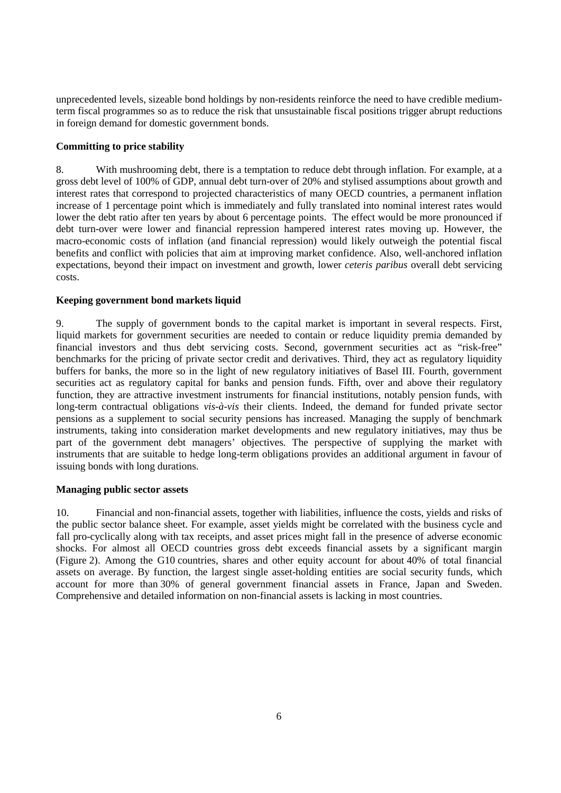unprecedented levels, sizeable bond holdings by non-residents reinforce the need to have credible mediumterm fiscal programmes so as to reduce the risk that unsustainable fiscal positions trigger abrupt reductions in foreign demand for domestic government bonds.

# **Committing to price stability**

8. With mushrooming debt, there is a temptation to reduce debt through inflation. For example, at a gross debt level of 100% of GDP, annual debt turn-over of 20% and stylised assumptions about growth and interest rates that correspond to projected characteristics of many OECD countries, a permanent inflation increase of 1 percentage point which is immediately and fully translated into nominal interest rates would lower the debt ratio after ten years by about 6 percentage points. The effect would be more pronounced if debt turn-over were lower and financial repression hampered interest rates moving up. However, the macro-economic costs of inflation (and financial repression) would likely outweigh the potential fiscal benefits and conflict with policies that aim at improving market confidence. Also, well-anchored inflation expectations, beyond their impact on investment and growth, lower *ceteris paribus* overall debt servicing costs.

### **Keeping government bond markets liquid**

9. The supply of government bonds to the capital market is important in several respects. First, liquid markets for government securities are needed to contain or reduce liquidity premia demanded by financial investors and thus debt servicing costs. Second, government securities act as "risk-free" benchmarks for the pricing of private sector credit and derivatives. Third, they act as regulatory liquidity buffers for banks, the more so in the light of new regulatory initiatives of Basel III. Fourth, government securities act as regulatory capital for banks and pension funds. Fifth, over and above their regulatory function, they are attractive investment instruments for financial institutions, notably pension funds, with long-term contractual obligations *vis-à-vis* their clients. Indeed, the demand for funded private sector pensions as a supplement to social security pensions has increased. Managing the supply of benchmark instruments, taking into consideration market developments and new regulatory initiatives, may thus be part of the government debt managers' objectives. The perspective of supplying the market with instruments that are suitable to hedge long-term obligations provides an additional argument in favour of issuing bonds with long durations.

### **Managing public sector assets**

10. Financial and non-financial assets, together with liabilities, influence the costs, yields and risks of the public sector balance sheet. For example, asset yields might be correlated with the business cycle and fall pro-cyclically along with tax receipts, and asset prices might fall in the presence of adverse economic shocks. For almost all OECD countries gross debt exceeds financial assets by a significant margin (Figure 2). Among the G10 countries, shares and other equity account for about 40% of total financial assets on average. By function, the largest single asset-holding entities are social security funds, which account for more than 30% of general government financial assets in France, Japan and Sweden. Comprehensive and detailed information on non-financial assets is lacking in most countries.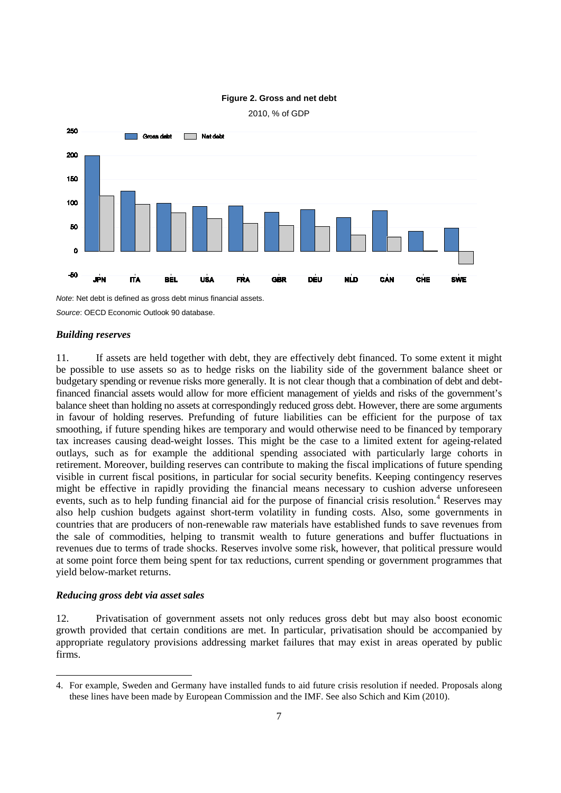

# **Figure 2. Gross and net debt**

2010, % of GDP

*Note*: Net debt is defined as gross debt minus financial assets.

*Source*: OECD Economic Outlook 90 database.

#### *Building reserves*

11. If assets are held together with debt, they are effectively debt financed. To some extent it might be possible to use assets so as to hedge risks on the liability side of the government balance sheet or budgetary spending or revenue risks more generally. It is not clear though that a combination of debt and debtfinanced financial assets would allow for more efficient management of yields and risks of the government's balance sheet than holding no assets at correspondingly reduced gross debt. However, there are some arguments in favour of holding reserves. Prefunding of future liabilities can be efficient for the purpose of tax smoothing, if future spending hikes are temporary and would otherwise need to be financed by temporary tax increases causing dead-weight losses. This might be the case to a limited extent for ageing-related outlays, such as for example the additional spending associated with particularly large cohorts in retirement. Moreover, building reserves can contribute to making the fiscal implications of future spending visible in current fiscal positions, in particular for social security benefits. Keeping contingency reserves might be effective in rapidly providing the financial means necessary to cushion adverse unforeseen events, such as to help funding financial aid for the purpose of financial crisis resolution.<sup>[4](#page-6-0)</sup> Reserves may also help cushion budgets against short-term volatility in funding costs. Also, some governments in countries that are producers of non-renewable raw materials have established funds to save revenues from the sale of commodities, helping to transmit wealth to future generations and buffer fluctuations in revenues due to terms of trade shocks. Reserves involve some risk, however, that political pressure would at some point force them being spent for tax reductions, current spending or government programmes that yield below-market returns.

#### *Reducing gross debt via asset sales*

 $\overline{a}$ 

12. Privatisation of government assets not only reduces gross debt but may also boost economic growth provided that certain conditions are met. In particular, privatisation should be accompanied by appropriate regulatory provisions addressing market failures that may exist in areas operated by public firms.

<span id="page-6-0"></span><sup>4.</sup> For example, Sweden and Germany have installed funds to aid future crisis resolution if needed. Proposals along these lines have been made by European Commission and the IMF. See also Schich and Kim (2010).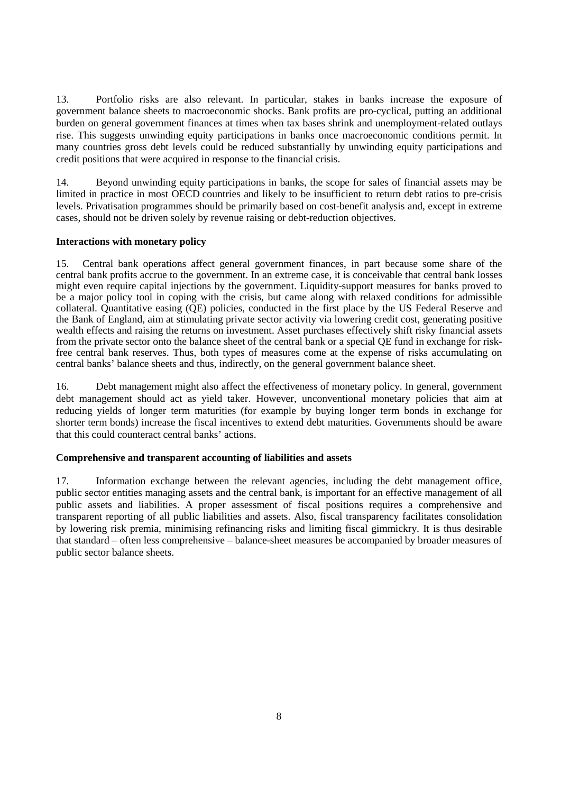13. Portfolio risks are also relevant. In particular, stakes in banks increase the exposure of government balance sheets to macroeconomic shocks. Bank profits are pro-cyclical, putting an additional burden on general government finances at times when tax bases shrink and unemployment-related outlays rise. This suggests unwinding equity participations in banks once macroeconomic conditions permit. In many countries gross debt levels could be reduced substantially by unwinding equity participations and credit positions that were acquired in response to the financial crisis.

14. Beyond unwinding equity participations in banks, the scope for sales of financial assets may be limited in practice in most OECD countries and likely to be insufficient to return debt ratios to pre-crisis levels. Privatisation programmes should be primarily based on cost-benefit analysis and, except in extreme cases, should not be driven solely by revenue raising or debt-reduction objectives.

# **Interactions with monetary policy**

15. Central bank operations affect general government finances, in part because some share of the central bank profits accrue to the government. In an extreme case, it is conceivable that central bank losses might even require capital injections by the government. Liquidity-support measures for banks proved to be a major policy tool in coping with the crisis, but came along with relaxed conditions for admissible collateral. Quantitative easing (QE) policies, conducted in the first place by the US Federal Reserve and the Bank of England, aim at stimulating private sector activity via lowering credit cost, generating positive wealth effects and raising the returns on investment. Asset purchases effectively shift risky financial assets from the private sector onto the balance sheet of the central bank or a special QE fund in exchange for riskfree central bank reserves. Thus, both types of measures come at the expense of risks accumulating on central banks' balance sheets and thus, indirectly, on the general government balance sheet.

16. Debt management might also affect the effectiveness of monetary policy. In general, government debt management should act as yield taker. However, unconventional monetary policies that aim at reducing yields of longer term maturities (for example by buying longer term bonds in exchange for shorter term bonds) increase the fiscal incentives to extend debt maturities. Governments should be aware that this could counteract central banks' actions.

# **Comprehensive and transparent accounting of liabilities and assets**

17. Information exchange between the relevant agencies, including the debt management office, public sector entities managing assets and the central bank, is important for an effective management of all public assets and liabilities. A proper assessment of fiscal positions requires a comprehensive and transparent reporting of all public liabilities and assets. Also, fiscal transparency facilitates consolidation by lowering risk premia, minimising refinancing risks and limiting fiscal gimmickry. It is thus desirable that standard – often less comprehensive – balance-sheet measures be accompanied by broader measures of public sector balance sheets.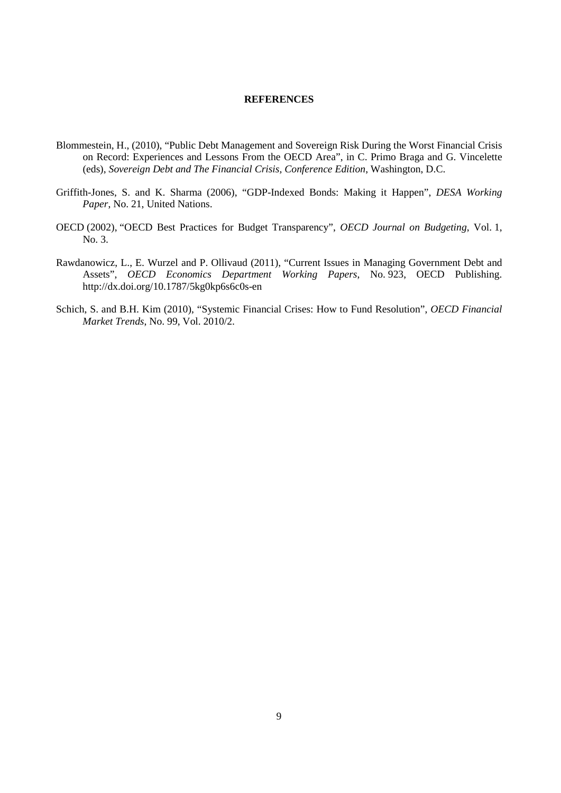### **REFERENCES**

- Blommestein, H., (2010), "Public Debt Management and Sovereign Risk During the Worst Financial Crisis on Record: Experiences and Lessons From the OECD Area", in C. Primo Braga and G. Vincelette (eds), *Sovereign Debt and The Financial Crisis, Conference Edition*, Washington, D.C.
- Griffith-Jones, S. and K. Sharma (2006), "GDP-Indexed Bonds: Making it Happen", *DESA Working Paper*, No. 21, United Nations.
- OECD (2002), "OECD Best Practices for Budget Transparency", *OECD Journal on Budgeting*, Vol. 1, No. 3.
- Rawdanowicz, L., E. Wurzel and P. Ollivaud (2011), "Current Issues in Managing Government Debt and Assets", *OECD Economics Department Working Papers*, No. 923, OECD Publishing. http://dx.doi.org/10.1787/5kg0kp6s6c0s-en
- Schich, S. and B.H. Kim (2010), "Systemic Financial Crises: How to Fund Resolution", *OECD Financial Market Trends*, No. 99, Vol. 2010/2.